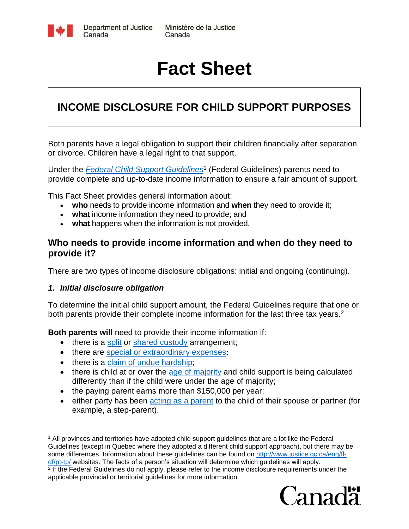

# **Fact Sheet**

# **INCOME DISCLOSURE FOR CHILD SUPPORT PURPOSES**

Both parents have a legal obligation to support their children financially after separation or divorce. Children have a legal right to that support.

Under the *[Federal Child Support Guidelines](http://laws.justice.gc.ca/eng/regulations/SOR-97-175/page-1.html)*<sup>1</sup> (Federal Guidelines) parents need to provide complete and up-to-date income information to ensure a fair amount of support.

This Fact Sheet provides general information about:

- **who** needs to provide income information and **when** they need to provide it;
- **what** income information they need to provide; and
- **what** happens when the information is not provided.

### **Who needs to provide income information and when do they need to provide it?**

There are two types of income disclosure obligations: initial and ongoing (continuing).

#### *1. Initial disclosure obligation*

To determine the initial child support amount, the Federal Guidelines require that one or both parents provide their complete income information for the last three tax years.<sup>2</sup>

**Both parents will** need to provide their income information if:

- there is a [split](http://www.justice.gc.ca/eng/rp-pr/fl-lf/child-enfant/guide/step3-etap3.html#h5) or [shared custody](http://www.justice.gc.ca/eng/rp-pr/fl-lf/child-enfant/guide/step3-etap3.html#h5) arrangement;
- there are [special or extraordinary expenses](http://www.justice.gc.ca/eng/rp-pr/fl-lf/child-enfant/guide/step7-etap7.html);
- there is a [claim of undue hardship;](http://www.justice.gc.ca/eng/rp-pr/fl-lf/child-enfant/guide/step8-etap8.html)
- there is child at or over the [age of majority](http://www.justice.gc.ca/eng/rp-pr/fl-lf/child-enfant/guide/step2-etap2.html) and child support is being calculated differently than if the child were under the age of majority;
- the paying parent earns more than \$150,000 per year;
- either party has been [acting as a parent](http://www.justice.gc.ca/eng/rp-pr/fl-lf/child-enfant/guide/step2-etap2.html) to the child of their spouse or partner (for example, a step-parent).

 $\overline{a}$ <sup>1</sup> All provinces and territories have adopted child support guidelines that are a lot like the Federal Guidelines (except in Quebec where they adopted a different child support approach), but there may be some differences. Information about these guidelines can be found on [http://www.justice.gc.ca/eng/fl](http://www.justice.gc.ca/eng/fl-df/pt-tp/)[df/pt-tp/](http://www.justice.gc.ca/eng/fl-df/pt-tp/) websites. The facts of a person's situation will determine which guidelines will apply. <sup>2</sup> If the Federal Guidelines do not apply, please refer to the income disclosure requirements under the applicable provincial or territorial guidelines for more information.

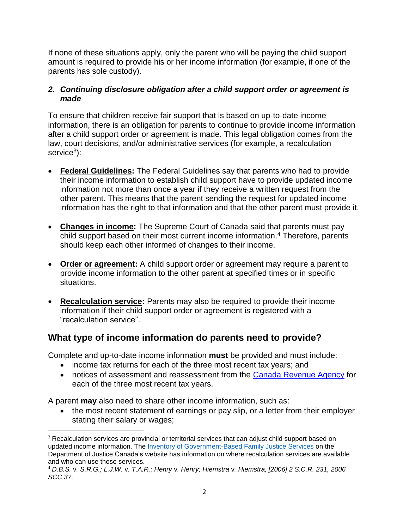If none of these situations apply, only the parent who will be paying the child support amount is required to provide his or her income information (for example, if one of the parents has sole custody).

#### *2. Continuing disclosure obligation after a child support order or agreement is made*

To ensure that children receive fair support that is based on up-to-date income information, there is an obligation for parents to continue to provide income information after a child support order or agreement is made. This legal obligation comes from the law, court decisions, and/or administrative services (for example, a recalculation service<sup>3</sup>):

- **Federal Guidelines:** The Federal Guidelines say that parents who had to provide their income information to establish child support have to provide updated income information not more than once a year if they receive a written request from the other parent. This means that the parent sending the request for updated income information has the right to that information and that the other parent must provide it.
- **Changes in income:** The Supreme Court of Canada said that parents must pay child support based on their most current income information.<sup>4</sup> Therefore, parents should keep each other informed of changes to their income.
- **Order or agreement:** A child support order or agreement may require a parent to provide income information to the other parent at specified times or in specific situations.
- **Recalculation service:** Parents may also be required to provide their income information if their child support order or agreement is registered with a "recalculation service".

## **What type of income information do parents need to provide?**

Complete and up-to-date income information **must** be provided and must include:

- income tax returns for each of the three most recent tax years; and
- notices of assessment and reassessment from the [Canada Revenue Agency](http://www.cra-arc.gc.ca/) for each of the three most recent tax years.

A parent **may** also need to share other income information, such as:

 $\overline{a}$ 

• the most recent statement of earnings or pay slip, or a letter from their employer stating their salary or wages;

<sup>&</sup>lt;sup>3</sup> Recalculation services are provincial or territorial services that can adjust child support based on updated income information. The [Inventory of Government-Based Family Justice Services](http://www.justice.gc.ca/eng/fl-df/fjs-sjf/brows-fure.asp) on the Department of Justice Canada's website has information on where recalculation services are available and who can use those services.

<sup>4</sup> *D.B.S.* v*. S.R.G.; L.J.W.* v*. T.A.R.; Henry* v*. Henry; Hiemstra* v*. Hiemstra, [2006] 2 S.C.R. 231, 2006 SCC 37.*